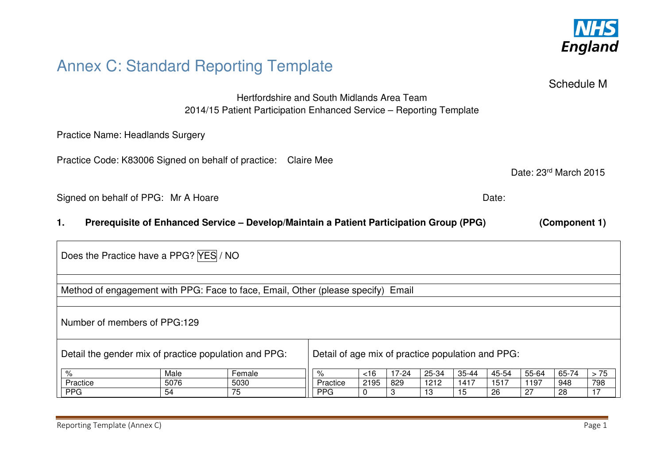

# Annex C: Standard Reporting Template

Schedule M

Date: 23rd March 2015

Hertfordshire and South Midlands Area Team 2014/15 Patient Participation Enhanced Service – Reporting Template

Practice Name: Headlands Surgery

Practice Code: K83006 Signed on behalf of practice: Claire Mee

Signed on behalf of PPG: Mr A Hoare Date: Date: Date: Date:

### **1. Prerequisite of Enhanced Service – Develop/Maintain a Patient Participation Group (PPG) (Component 1)**

| Does the Practice have a PPG? YES / NO |      |                                                                                  |                                                   |        |           |       |       |       |       |       |      |
|----------------------------------------|------|----------------------------------------------------------------------------------|---------------------------------------------------|--------|-----------|-------|-------|-------|-------|-------|------|
|                                        |      | Method of engagement with PPG: Face to face, Email, Other (please specify) Email |                                                   |        |           |       |       |       |       |       |      |
| Number of members of PPG:129           |      |                                                                                  |                                                   |        |           |       |       |       |       |       |      |
|                                        |      | Detail the gender mix of practice population and PPG:                            | Detail of age mix of practice population and PPG: |        |           |       |       |       |       |       |      |
| %                                      | Male | Female                                                                           | %                                                 | $<$ 16 | $17 - 24$ | 25-34 | 35-44 | 45-54 | 55-64 | 65-74 | > 75 |
| Practice                               | 5076 | 5030                                                                             | Practice                                          | 2195   | 829       | 1212  | 1417  | 1517  | 1197  | 948   | 798  |
| <b>PPG</b>                             | 54   | 75                                                                               | <b>PPG</b>                                        | 0      | З         | 13    | 15    | 26    | 27    | 28    |      |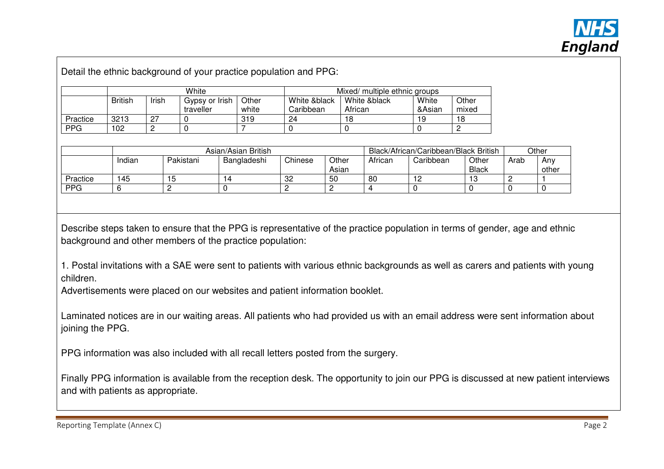

Detail the ethnic background of your practice population and PPG:

|            | White          |       |                             |                | Mixed/ multiple ethnic groups |                         |                 |                |  |  |
|------------|----------------|-------|-----------------------------|----------------|-------------------------------|-------------------------|-----------------|----------------|--|--|
|            | <b>British</b> | Irish | Gypsy or Irish<br>traveller | Other<br>white | White &black<br>Caribbean     | White &black<br>African | White<br>&Asian | Other<br>mixed |  |  |
| Practice   | 3213           | רמ    |                             | 319            | 24                            | 18                      | 19              | 18             |  |  |
| <b>PPG</b> | 102            |       |                             |                |                               |                         |                 |                |  |  |

|          | Asian/Asian British |           |             |         |                | Black/African/Caribbean/Black British | Other     |                       |      |              |
|----------|---------------------|-----------|-------------|---------|----------------|---------------------------------------|-----------|-----------------------|------|--------------|
|          | Indian              | Pakistani | Bangladeshi | Chinese | Other<br>Asian | African                               | Caribbean | Other<br><b>Black</b> | Arab | Anv<br>other |
| Practice | 145                 | ∽<br>◡    |             | 32      | 50             | 80                                    |           |                       |      |              |
| PPG      |                     |           |             |         |                |                                       |           |                       |      |              |

Describe steps taken to ensure that the PPG is representative of the practice population in terms of gender, age and ethnic background and other members of the practice population:

1. Postal invitations with a SAE were sent to patients with various ethnic backgrounds as well as carers and patients with young children.

Advertisements were placed on our websites and patient information booklet.

Laminated notices are in our waiting areas. All patients who had provided us with an email address were sent information about joining the PPG.

PPG information was also included with all recall letters posted from the surgery.

Finally PPG information is available from the reception desk. The opportunity to join our PPG is discussed at new patient interviews and with patients as appropriate.

Reporting Template (Annex C)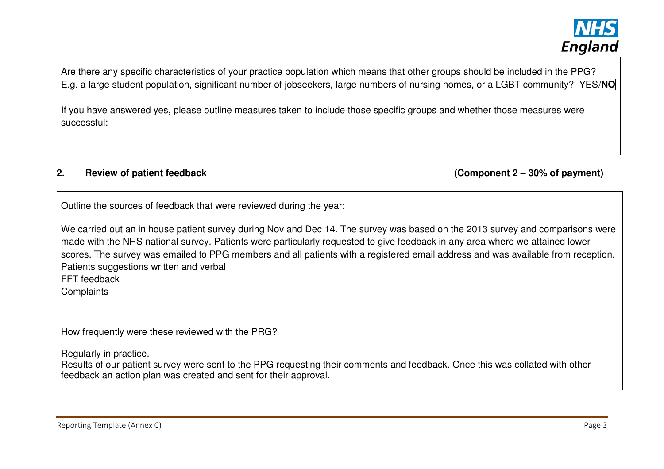

Are there any specific characteristics of your practice population which means that other groups should be included in the PPG? E.g. a large student population, significant number of jobseekers, large numbers of nursing homes, or a LGBT community? YES/**NO**

If you have answered yes, please outline measures taken to include those specific groups and whether those measures were successful:

### **2. Review of patient feedback (Component 2 – 30% of payment)**

Outline the sources of feedback that were reviewed during the year:

We carried out an in house patient survey during Nov and Dec 14. The survey was based on the 2013 survey and comparisons were made with the NHS national survey. Patients were particularly requested to give feedback in any area where we attained lower scores. The survey was emailed to PPG members and all patients with a registered email address and was available from reception. Patients suggestions written and verbal

FFT feedback

**Complaints** 

How frequently were these reviewed with the PRG?

Regularly in practice.

 Results of our patient survey were sent to the PPG requesting their comments and feedback. Once this was collated with other feedback an action plan was created and sent for their approval.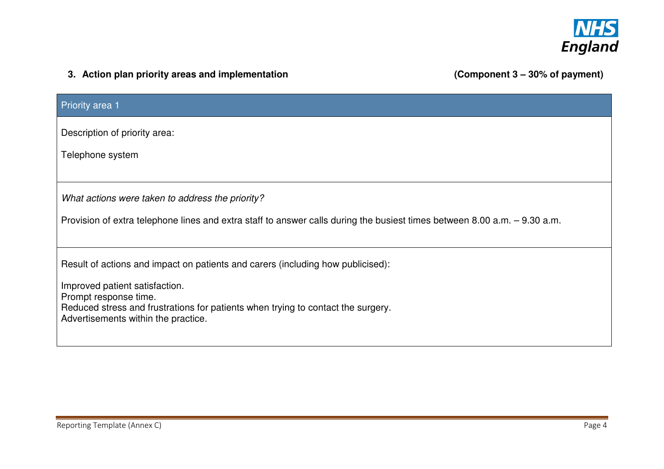

## **3. Action plan priority areas and implementation**

(Component 3 - 30% of payment)

| Priority area 1                                                                                                           |
|---------------------------------------------------------------------------------------------------------------------------|
| Description of priority area:                                                                                             |
| Telephone system                                                                                                          |
|                                                                                                                           |
| What actions were taken to address the priority?                                                                          |
| Provision of extra telephone lines and extra staff to answer calls during the busiest times between 8.00 a.m. - 9.30 a.m. |
|                                                                                                                           |
| Result of actions and impact on patients and carers (including how publicised):                                           |
| Improved patient satisfaction.<br>Prompt response time.                                                                   |
| Reduced stress and frustrations for patients when trying to contact the surgery.<br>Advertisements within the practice.   |
|                                                                                                                           |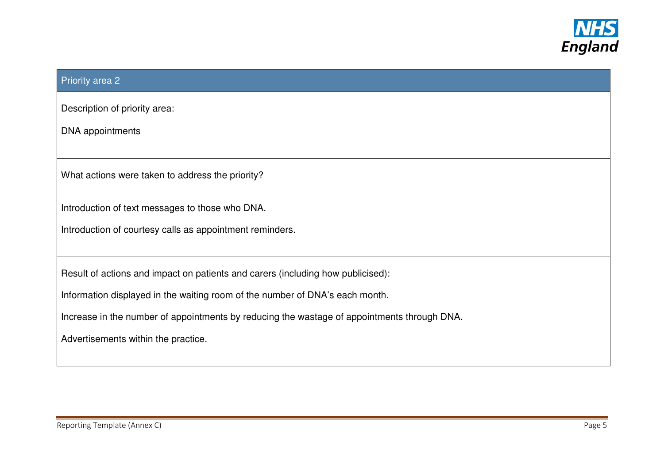

### Priority area 2

Description of priority area:

DNA appointments

What actions were taken to address the priority?

Introduction of text messages to those who DNA.

Introduction of courtesy calls as appointment reminders.

Result of actions and impact on patients and carers (including how publicised):

Information displayed in the waiting room of the number of DNA's each month.

Increase in the number of appointments by reducing the wastage of appointments through DNA.

Advertisements within the practice.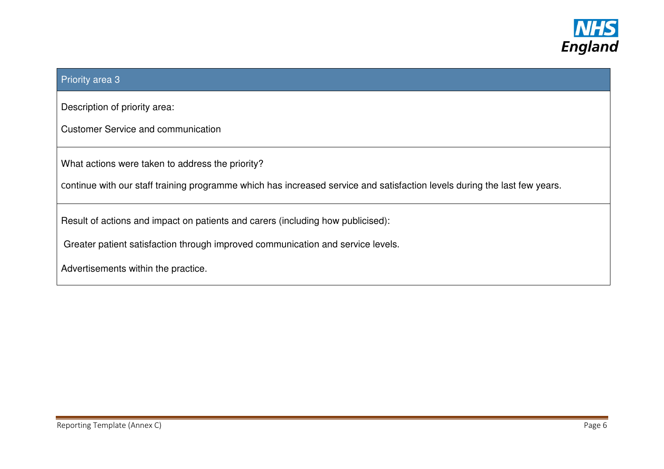

### Priority area 3

Description of priority area:

Customer Service and communication

What actions were taken to address the priority?

Continue with our staff training programme which has increased service and satisfaction levels during the last few years.

Result of actions and impact on patients and carers (including how publicised):

Greater patient satisfaction through improved communication and service levels.

Advertisements within the practice.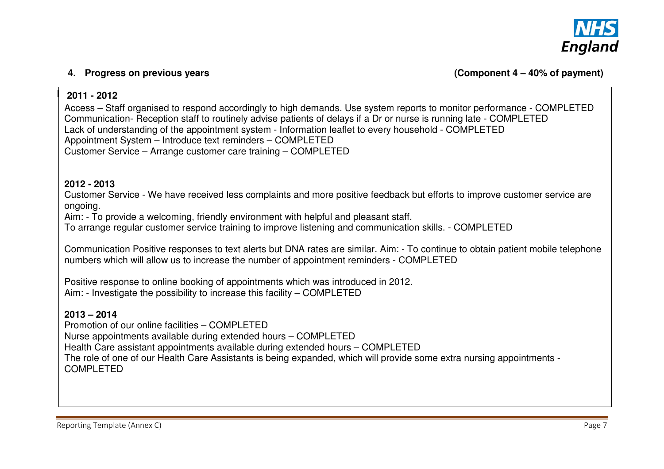

### $2011 - 2012$ **2011 - 2012** an one year, outline progress made on issues raised in the previous year(s):

Access – Staff organised to respond accordingly to high demands. Use system reports to monitor performance - COMPLETED Communication- Reception staff to routinely advise patients of delays if a Dr or nurse is running late - COMPLETED Lack of understanding of the appointment system - Information leaflet to every household - COMPLETED Appointment System – Introduce text reminders – COMPLETED Customer Service – Arrange customer care training – COMPLETED

### **2012 - 2013**

 Customer Service - We have received less complaints and more positive feedback but efforts to improve customer service are ongoing.

Aim: - To provide a welcoming, friendly environment with helpful and pleasant staff.

To arrange regular customer service training to improve listening and communication skills. - COMPLETED

Communication Positive responses to text alerts but DNA rates are similar. Aim: - To continue to obtain patient mobile telephone numbers which will allow us to increase the number of appointment reminders - COMPLETED

Positive response to online booking of appointments which was introduced in 2012. Aim: - Investigate the possibility to increase this facility – COMPLETED

### **2013 – 2014**

 Promotion of our online facilities – COMPLETED Nurse appointments available during extended hours – COMPLETED Health Care assistant appointments available during extended hours – COMPLETED The role of one of our Health Care Assistants is being expanded, which will provide some extra nursing appointments - COMPLETED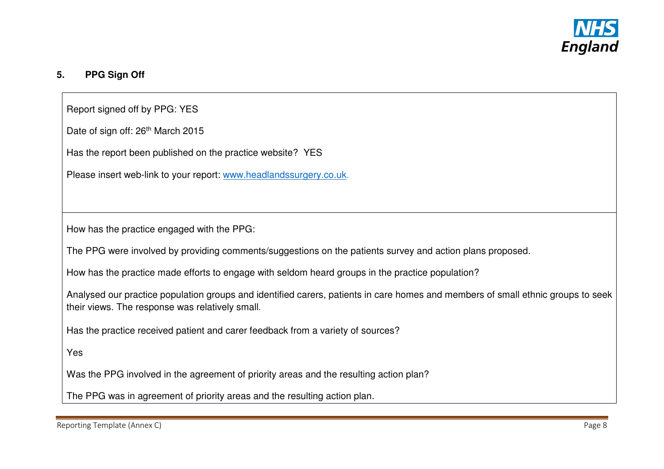

## **5. PPG Sign Off**

Report signed off by PPG: YES

Date of sign off: 26<sup>th</sup> March 2015

Has the report been published on the practice website? YES

Please insert web-link to your report: www.headlandssurgery.co.uk.

How has the practice engaged with the PPG:

The PPG were involved by providing comments/suggestions on the patients survey and action plans proposed.

How has the practice made efforts to engage with seldom heard groups in the practice population?

Analysed our practice population groups and identified carers, patients in care homes and members of small ethnic groups to seek their views. The response was relatively small.

Has the practice received patient and carer feedback from a variety of sources?

Yes

Was the PPG involved in the agreement of priority areas and the resulting action plan?

The PPG was in agreement of priority areas and the resulting action plan.